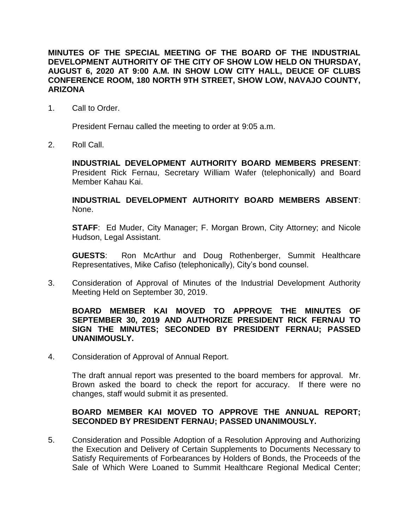**MINUTES OF THE SPECIAL MEETING OF THE BOARD OF THE INDUSTRIAL DEVELOPMENT AUTHORITY OF THE CITY OF SHOW LOW HELD ON THURSDAY, AUGUST 6, 2020 AT 9:00 A.M. IN SHOW LOW CITY HALL, DEUCE OF CLUBS CONFERENCE ROOM, 180 NORTH 9TH STREET, SHOW LOW, NAVAJO COUNTY, ARIZONA**

1. Call to Order.

President Fernau called the meeting to order at 9:05 a.m.

2. Roll Call.

**INDUSTRIAL DEVELOPMENT AUTHORITY BOARD MEMBERS PRESENT**: President Rick Fernau, Secretary William Wafer (telephonically) and Board Member Kahau Kai.

**INDUSTRIAL DEVELOPMENT AUTHORITY BOARD MEMBERS ABSENT**: None.

**STAFF**: Ed Muder, City Manager; F. Morgan Brown, City Attorney; and Nicole Hudson, Legal Assistant.

**GUESTS**: Ron McArthur and Doug Rothenberger, Summit Healthcare Representatives, Mike Cafiso (telephonically), City's bond counsel.

3. Consideration of Approval of Minutes of the Industrial Development Authority Meeting Held on September 30, 2019.

## **BOARD MEMBER KAI MOVED TO APPROVE THE MINUTES OF SEPTEMBER 30, 2019 AND AUTHORIZE PRESIDENT RICK FERNAU TO SIGN THE MINUTES; SECONDED BY PRESIDENT FERNAU; PASSED UNANIMOUSLY.**

4. Consideration of Approval of Annual Report.

The draft annual report was presented to the board members for approval. Mr. Brown asked the board to check the report for accuracy. If there were no changes, staff would submit it as presented.

## **BOARD MEMBER KAI MOVED TO APPROVE THE ANNUAL REPORT; SECONDED BY PRESIDENT FERNAU; PASSED UNANIMOUSLY.**

5. Consideration and Possible Adoption of a Resolution Approving and Authorizing the Execution and Delivery of Certain Supplements to Documents Necessary to Satisfy Requirements of Forbearances by Holders of Bonds, the Proceeds of the Sale of Which Were Loaned to Summit Healthcare Regional Medical Center;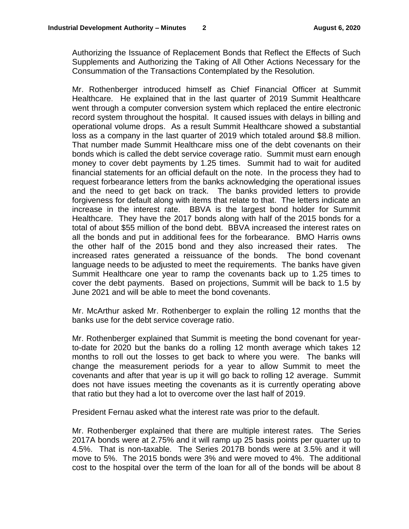Authorizing the Issuance of Replacement Bonds that Reflect the Effects of Such Supplements and Authorizing the Taking of All Other Actions Necessary for the Consummation of the Transactions Contemplated by the Resolution.

Mr. Rothenberger introduced himself as Chief Financial Officer at Summit Healthcare. He explained that in the last quarter of 2019 Summit Healthcare went through a computer conversion system which replaced the entire electronic record system throughout the hospital. It caused issues with delays in billing and operational volume drops. As a result Summit Healthcare showed a substantial loss as a company in the last quarter of 2019 which totaled around \$8.8 million. That number made Summit Healthcare miss one of the debt covenants on their bonds which is called the debt service coverage ratio. Summit must earn enough money to cover debt payments by 1.25 times. Summit had to wait for audited financial statements for an official default on the note. In the process they had to request forbearance letters from the banks acknowledging the operational issues and the need to get back on track. The banks provided letters to provide forgiveness for default along with items that relate to that. The letters indicate an increase in the interest rate. BBVA is the largest bond holder for Summit Healthcare. They have the 2017 bonds along with half of the 2015 bonds for a total of about \$55 million of the bond debt. BBVA increased the interest rates on all the bonds and put in additional fees for the forbearance. BMO Harris owns the other half of the 2015 bond and they also increased their rates. The increased rates generated a reissuance of the bonds. The bond covenant language needs to be adjusted to meet the requirements. The banks have given Summit Healthcare one year to ramp the covenants back up to 1.25 times to cover the debt payments. Based on projections, Summit will be back to 1.5 by June 2021 and will be able to meet the bond covenants.

Mr. McArthur asked Mr. Rothenberger to explain the rolling 12 months that the banks use for the debt service coverage ratio.

Mr. Rothenberger explained that Summit is meeting the bond covenant for yearto-date for 2020 but the banks do a rolling 12 month average which takes 12 months to roll out the losses to get back to where you were. The banks will change the measurement periods for a year to allow Summit to meet the covenants and after that year is up it will go back to rolling 12 average. Summit does not have issues meeting the covenants as it is currently operating above that ratio but they had a lot to overcome over the last half of 2019.

President Fernau asked what the interest rate was prior to the default.

Mr. Rothenberger explained that there are multiple interest rates. The Series 2017A bonds were at 2.75% and it will ramp up 25 basis points per quarter up to 4.5%. That is non-taxable. The Series 2017B bonds were at 3.5% and it will move to 5%. The 2015 bonds were 3% and were moved to 4%. The additional cost to the hospital over the term of the loan for all of the bonds will be about 8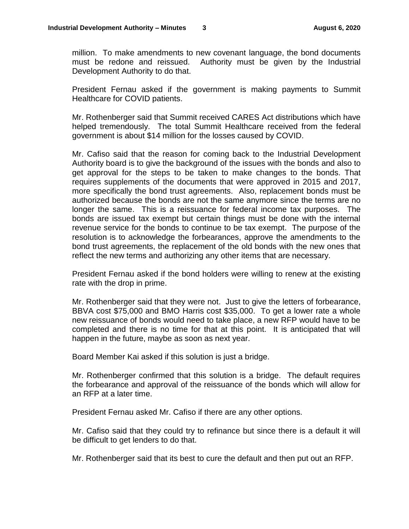million. To make amendments to new covenant language, the bond documents must be redone and reissued. Authority must be given by the Industrial Development Authority to do that.

President Fernau asked if the government is making payments to Summit Healthcare for COVID patients.

Mr. Rothenberger said that Summit received CARES Act distributions which have helped tremendously. The total Summit Healthcare received from the federal government is about \$14 million for the losses caused by COVID.

Mr. Cafiso said that the reason for coming back to the Industrial Development Authority board is to give the background of the issues with the bonds and also to get approval for the steps to be taken to make changes to the bonds. That requires supplements of the documents that were approved in 2015 and 2017, more specifically the bond trust agreements. Also, replacement bonds must be authorized because the bonds are not the same anymore since the terms are no longer the same. This is a reissuance for federal income tax purposes. The bonds are issued tax exempt but certain things must be done with the internal revenue service for the bonds to continue to be tax exempt. The purpose of the resolution is to acknowledge the forbearances, approve the amendments to the bond trust agreements, the replacement of the old bonds with the new ones that reflect the new terms and authorizing any other items that are necessary.

President Fernau asked if the bond holders were willing to renew at the existing rate with the drop in prime.

Mr. Rothenberger said that they were not. Just to give the letters of forbearance, BBVA cost \$75,000 and BMO Harris cost \$35,000. To get a lower rate a whole new reissuance of bonds would need to take place, a new RFP would have to be completed and there is no time for that at this point. It is anticipated that will happen in the future, maybe as soon as next year.

Board Member Kai asked if this solution is just a bridge.

Mr. Rothenberger confirmed that this solution is a bridge. The default requires the forbearance and approval of the reissuance of the bonds which will allow for an RFP at a later time.

President Fernau asked Mr. Cafiso if there are any other options.

Mr. Cafiso said that they could try to refinance but since there is a default it will be difficult to get lenders to do that.

Mr. Rothenberger said that its best to cure the default and then put out an RFP.